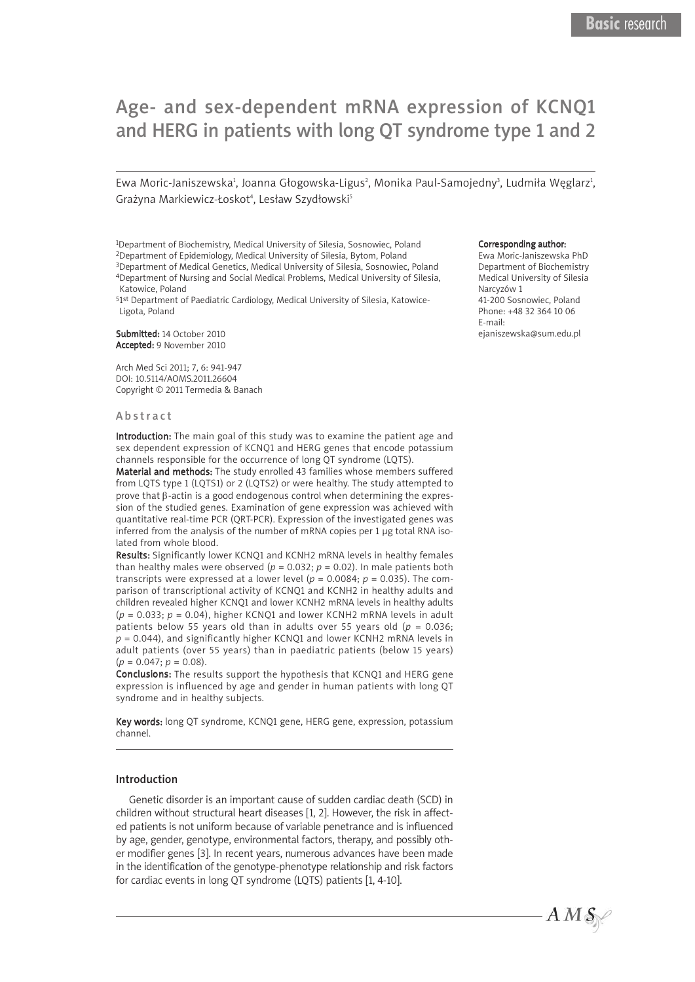# Age- and sex-dependent mRNA expression of KCNQ1 and HERG in patients with long QT syndrome type 1 and 2

Ewa Moric-Janiszewska<del>'</del>, Joanna Głogowska-Ligus<sup>2</sup>, Monika Paul-Samojedny<sup>3</sup>, Ludmiła Węglarz<sup>ı</sup>, Grażyna Markiewicz-Łoskot 4 , Lesław Szydłowski 5

1Department of Biochemistry, Medical University of Silesia, Sosnowiec, Poland 2Department of Epidemiology, Medical University of Silesia, Bytom, Poland 3Department of Medical Genetics, Medical University of Silesia, Sosnowiec, Poland

4Department of Nursing and Social Medical Problems, Medical University of Silesia, Katowice, Poland

51st Department of Paediatric Cardiology, Medical University of Silesia, Katowice-Ligota, Poland

Submitted: 14 October 2010 Accepted: 9 November 2010

Arch Med Sci 2011; 7, 6: 941-947 DOI: 10.5114/AOMS.2011.26604 Copyright © 2011 Termedia & Banach

#### **Abstract**

Introduction: The main goal of this study was to examine the patient age and sex dependent expression of KCNQ1 and HERG genes that encode potassium channels responsible for the occurrence of long QT syndrome (LQTS).

Material and methods: The study enrolled 43 families whose members suffered from LQTS type 1 (LQTS1) or 2 (LQTS2) or were healthy. The study attempted to prove that β-actin is a good endogenous control when determining the expression of the studied genes. Examination of gene expression was achieved with quantitative real-time PCR (QRT-PCR). Expression of the investigated genes was inferred from the analysis of the number of mRNA copies per 1 ug total RNA isolated from whole blood.

Results: Significantly lower KCNQ1 and KCNH2 mRNA levels in healthy females than healthy males were observed ( $p = 0.032$ ;  $p = 0.02$ ). In male patients both transcripts were expressed at a lower level ( $p = 0.0084$ ;  $p = 0.035$ ). The comparison of transcriptional activity of KCNQ1 and KCNH2 in healthy adults and children revealed higher KCNQ1 and lower KCNH2 mRNA levels in healthy adults (*p* = 0.033; *p* = 0.04), higher KCNQ1 and lower KCNH2 mRNA levels in adult patients below 55 years old than in adults over 55 years old ( $p = 0.036$ ; *p* = 0.044), and significantly higher KCNQ1 and lower KCNH2 mRNA levels in adult patients (over 55 years) than in paediatric patients (below 15 years)  $(p = 0.047; p = 0.08)$ .

Conclusions: The results support the hypothesis that KCNQ1 and HERG gene expression is influenced by age and gender in human patients with long QT syndrome and in healthy subjects.

Key words: long QT syndrome, KCNQ1 gene, HERG gene, expression, potassium channel.

#### Introduction

Genetic disorder is an important cause of sudden cardiac death (SCD) in children without structural heart diseases [1, 2]. However, the risk in affected patients is not uniform because of variable penetrance and is influenced by age, gender, genotype, environmental factors, therapy, and possibly other modifier genes [3]. In recent years, numerous advances have been made in the identification of the genotype-phenotype relationship and risk factors for cardiac events in long QT syndrome (LQTS) patients [1, 4-10].

#### Corresponding author:

Ewa Moric-Janiszewska PhD Department of Biochemistry Medical University of Silesia Narcyzów 1 41-200 Sosnowiec, Poland Phone: +48 32 364 10 06 E-mail: ejaniszewska@sum.edu.pl

 $A\,M\,\mathcal{S}\!\!\!\!\!\!\!/$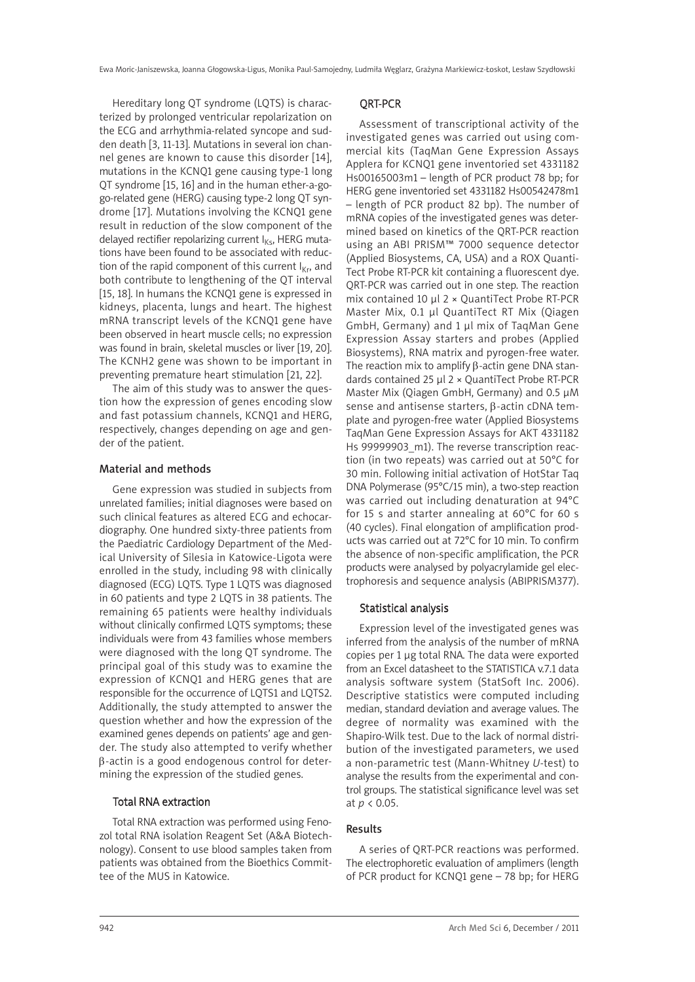Hereditary long QT syndrome (LQTS) is characterized by prolonged ventricular repolarization on the ECG and arrhythmia-related syncope and sudden death [3, 11-13]. Mutations in several ion channel genes are known to cause this disorder [14], mutations in the KCNQ1 gene causing type-1 long QT syndrome [15, 16] and in the human ether-a-gogo-related gene (HERG) causing type-2 long QT syndrome [17]. Mutations involving the KCNQ1 gene result in reduction of the slow component of the delayed rectifier repolarizing current  $I_{KS}$ , HERG mutations have been found to be associated with reduction of the rapid component of this current  $I_{Kr}$ , and both contribute to lengthening of the QT interval [15, 18]. In humans the KCNQ1 gene is expressed in kidneys, placenta, lungs and heart. The highest mRNA transcript levels of the KCNQ1 gene have been observed in heart muscle cells; no expression was found in brain, skeletal muscles or liver [19, 20]. The KCNH2 gene was shown to be important in preventing premature heart stimulation [21, 22].

The aim of this study was to answer the question how the expression of genes encoding slow and fast potassium channels, KCNQ1 and HERG, respectively, changes depending on age and gender of the patient.

# Material and methods

Gene expression was studied in subjects from unrelated families; initial diagnoses were based on such clinical features as altered ECG and echocardiography. One hundred sixty-three patients from the Paediatric Cardiology Department of the Medical University of Silesia in Katowice-Ligota were enrolled in the study, including 98 with clinically diagnosed (ECG) LQTS. Type 1 LQTS was diagnosed in 60 patients and type 2 LQTS in 38 patients. The remaining 65 patients were healthy individuals without clinically confirmed LQTS symptoms; these individuals were from 43 families whose members were diagnosed with the long QT syndrome. The principal goal of this study was to examine the expression of KCNQ1 and HERG genes that are responsible for the occurrence of LQTS1 and LQTS2. Additionally, the study attempted to answer the question whether and how the expression of the examined genes depends on patients' age and gender. The study also attempted to verify whether β-actin is a good endogenous control for determining the expression of the studied genes.

# Total RNA extraction

Total RNA extraction was performed using Fenozol total RNA isolation Reagent Set (A&A Biotechnology). Consent to use blood samples taken from patients was obtained from the Bioethics Committee of the MUS in Katowice.

# QRT-PCR

Assessment of transcriptional activity of the investigated genes was carried out using commercial kits (TaqMan Gene Expression Assays Applera for KCNQ1 gene inventoried set 4331182 Hs00165003m1 – length of PCR product 78 bp; for HERG gene inventoried set 4331182 Hs00542478m1 – length of PCR product 82 bp). The number of mRNA copies of the investigated genes was determined based on kinetics of the QRT-PCR reaction using an ABI PRISM™ 7000 sequence detector (Applied Biosystems, CA, USA) and a ROX Quanti-Tect Probe RT-PCR kit containing a fluorescent dye. QRT-PCR was carried out in one step. The reaction mix contained 10 µl 2 × QuantiTect Probe RT-PCR Master Mix, 0.1 µl QuantiTect RT Mix (Qiagen GmbH, Germany) and 1 µl mix of TaqMan Gene Expression Assay starters and probes (Applied Biosystems), RNA matrix and pyrogen-free water. The reaction mix to amplify β-actin gene DNA standards contained 25 µl 2 × QuantiTect Probe RT-PCR Master Mix (Qiagen GmbH, Germany) and 0.5 µM sense and antisense starters, β-actin cDNA template and pyrogen-free water (Applied Biosystems TaqMan Gene Expression Assays for AKT 4331182 Hs 99999903 m1). The reverse transcription reaction (in two repeats) was carried out at 50°C for 30 min. Following initial activation of HotStar Taq DNA Polymerase (95°C/15 min), a two-step reaction was carried out including denaturation at 94°C for 15 s and starter annealing at 60°C for 60 s (40 cycles). Final elongation of amplification products was carried out at 72°C for 10 min. To confirm the absence of non-specific amplification, the PCR products were analysed by polyacrylamide gel electrophoresis and sequence analysis (ABIPRISM377).

## Statistical analysis

Expression level of the investigated genes was inferred from the analysis of the number of mRNA copies per 1 µg total RNA. The data were exported from an Excel datasheet to the STATISTICA v.7.1 data analysis software system (StatSoft Inc. 2006). Descriptive statistics were computed including median, standard deviation and average values. The degree of normality was examined with the Shapiro-Wilk test. Due to the lack of normal distribution of the investigated parameters, we used a non-parametric test (Mann-Whitney *U*-test) to analyse the results from the experimental and control groups. The statistical significance level was set at *p* < 0.05.

# Results

A series of QRT-PCR reactions was performed. The electrophoretic evaluation of amplimers (length of PCR product for KCNQ1 gene – 78 bp; for HERG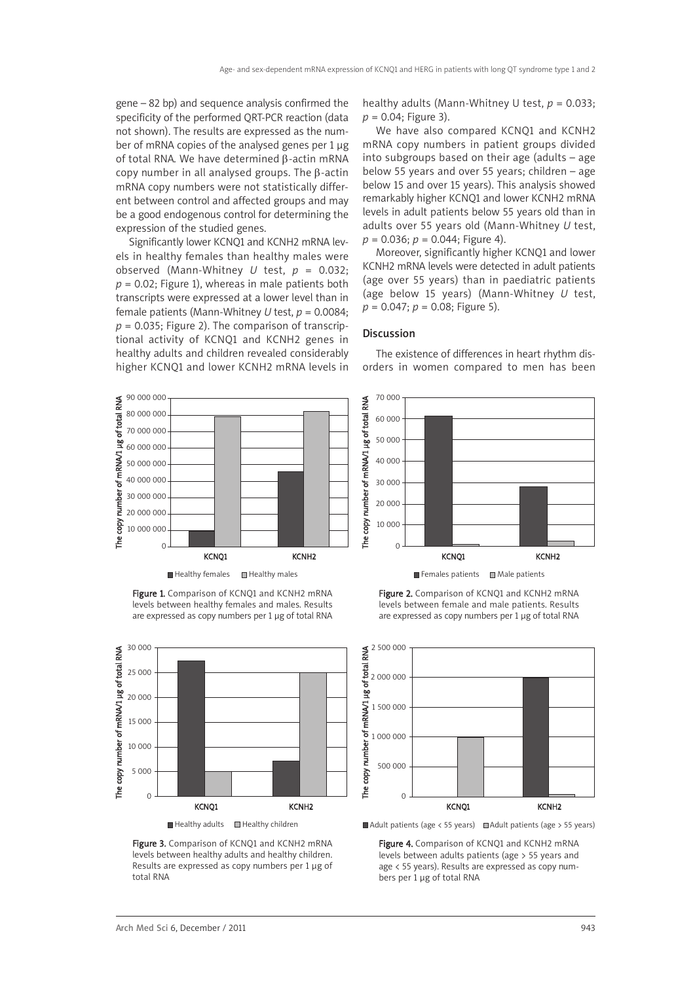gene – 82 bp) and sequence analysis confirmed the specificity of the performed QRT-PCR reaction (data not shown). The results are expressed as the number of mRNA copies of the analysed genes per 1 µg of total RNA. We have determined β-actin mRNA copy number in all analysed groups. The β-actin mRNA copy numbers were not statistically different between control and affected groups and may be a good endogenous control for determining the expression of the studied genes.

Significantly lower KCNQ1 and KCNH2 mRNA levels in healthy females than healthy males were observed (Mann-Whitney *U* test, *p* = 0.032; *p* = 0.02; Figure 1), whereas in male patients both transcripts were expressed at a lower level than in female patients (Mann-Whitney *U* test, *p* = 0.0084;  $p = 0.035$ ; Figure 2). The comparison of transcriptional activity of KCNQ1 and KCNH2 genes in healthy adults and children revealed considerably higher KCNQ1 and lower KCNH2 mRNA levels in healthy adults (Mann-Whitney U test, *p* = 0.033; *p* = 0.04; Figure 3).

We have also compared KCNQ1 and KCNH2 mRNA copy numbers in patient groups divided into subgroups based on their age (adults – age below 55 years and over 55 years; children – age below 15 and over 15 years). This analysis showed remarkably higher KCNQ1 and lower KCNH2 mRNA levels in adult patients below 55 years old than in adults over 55 years old (Mann-Whitney *U* test, *p* = 0.036; *p* = 0.044; Figure 4).

Moreover, significantly higher KCNQ1 and lower KCNH2 mRNA levels were detected in adult patients (age over 55 years) than in paediatric patients (age below 15 years) (Mann-Whitney *U* test, *p* = 0.047; *p* = 0.08; Figure 5).

#### **Discussion**



Figure 1. Comparison of KCNO1 and KCNH2 mRNA levels between healthy females and males. Results are expressed as copy numbers per 1 µg of total RNA



Figure 3. Comparison of KCNQ1 and KCNH2 mRNA levels between healthy adults and healthy children. Results are expressed as copy numbers per 1 µg of total RNA

The existence of differences in heart rhythm disorders in women compared to men has been



 $\Box$  Females patients  $\Box$  Male patients

Figure 2. Comparison of KCNO1 and KCNH2 mRNA levels between female and male patients. Results are expressed as copy numbers per 1 µg of total RNA



Adult patients (age  $\langle$  55 years)  $\Box$  Adult patients (age  $>$  55 years)

Figure 4. Comparison of KCNQ1 and KCNH2 mRNA levels between adults patients (age > 55 years and age < 55 years). Results are expressed as copy numbers per 1 µg of total RNA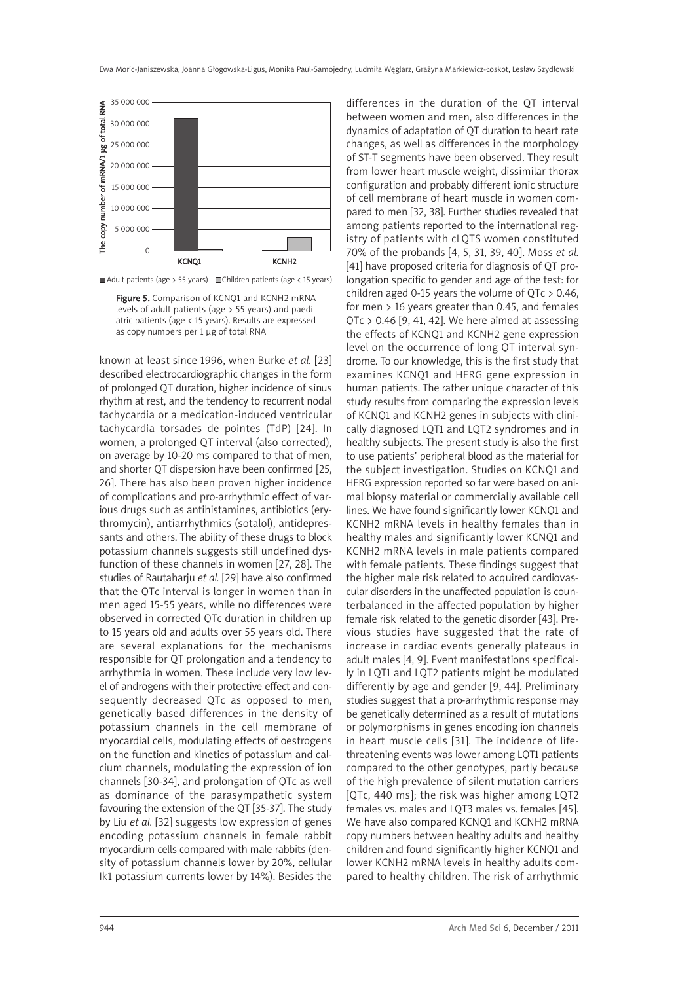

 $\blacksquare$  Adult patients (age > 55 years)  $\blacksquare$  Children patients (age < 15 years)

Figure 5. Comparison of KCNQ1 and KCNH2 mRNA levels of adult patients (age > 55 years) and paediatric patients (age < 15 years). Results are expressed as copy numbers per 1 µg of total RNA

known at least since 1996, when Burke *et al.* [23] described electrocardiographic changes in the form of prolonged QT duration, higher incidence of sinus rhythm at rest, and the tendency to recurrent nodal tachycardia or a medication-induced ventricular tachycardia torsades de pointes (TdP) [24]. In women, a prolonged QT interval (also corrected), on average by 10-20 ms compared to that of men, and shorter QT dispersion have been confirmed [25, 26]. There has also been proven higher incidence of complications and pro-arrhythmic effect of various drugs such as antihistamines, antibiotics (erythromycin), antiarrhythmics (sotalol), antidepressants and others. The ability of these drugs to block potassium channels suggests still undefined dysfunction of these channels in women [27, 28]. The studies of Rautaharju *et al.* [29] have also confirmed that the QTc interval is longer in women than in men aged 15-55 years, while no differences were observed in corrected QTc duration in children up to 15 years old and adults over 55 years old. There are several explanations for the mechanisms responsible for QT prolongation and a tendency to arrhythmia in women. These include very low level of androgens with their protective effect and consequently decreased QTc as opposed to men, genetically based differences in the density of potassium channels in the cell membrane of myocardial cells, modulating effects of oestrogens on the function and kinetics of potassium and calcium channels, modulating the expression of ion channels [30-34], and prolongation of QTc as well as dominance of the parasympathetic system favouring the extension of the QT [35-37]. The study by Liu *et al.* [32] suggests low expression of genes encoding potassium channels in female rabbit myocardium cells compared with male rabbits (density of potassium channels lower by 20%, cellular Ik1 potassium currents lower by 14%). Besides the

differences in the duration of the QT interval between women and men, also differences in the dynamics of adaptation of QT duration to heart rate changes, as well as differences in the morphology of ST-T segments have been observed. They result from lower heart muscle weight, dissimilar thorax configuration and probably different ionic structure of cell membrane of heart muscle in women compared to men [32, 38]. Further studies revealed that among patients reported to the international registry of patients with cLQTS women constituted 70% of the probands [4, 5, 31, 39, 40]. Moss *et al.* [41] have proposed criteria for diagnosis of QT prolongation specific to gender and age of the test: for children aged 0-15 years the volume of  $QTC > 0.46$ , for men > 16 years greater than 0.45, and females QTc > 0.46 [9, 41, 42]. We here aimed at assessing the effects of KCNQ1 and KCNH2 gene expression level on the occurrence of long QT interval syndrome. To our knowledge, this is the first study that examines KCNQ1 and HERG gene expression in human patients. The rather unique character of this study results from comparing the expression levels of KCNQ1 and KCNH2 genes in subjects with clinically diagnosed LQT1 and LQT2 syndromes and in healthy subjects. The present study is also the first to use patients' peripheral blood as the material for the subject investigation. Studies on KCNQ1 and HERG expression reported so far were based on animal biopsy material or commercially available cell lines. We have found significantly lower KCNQ1 and KCNH2 mRNA levels in healthy females than in healthy males and significantly lower KCNQ1 and KCNH2 mRNA levels in male patients compared with female patients. These findings suggest that the higher male risk related to acquired cardiovascular disorders in the unaffected population is counterbalanced in the affected population by higher female risk related to the genetic disorder [43]. Previous studies have suggested that the rate of increase in cardiac events generally plateaus in adult males [4, 9]. Event manifestations specifically in LQT1 and LQT2 patients might be modulated differently by age and gender [9, 44]. Preliminary studies suggest that a pro-arrhythmic response may be genetically determined as a result of mutations or polymorphisms in genes encoding ion channels in heart muscle cells [31]. The incidence of lifethreatening events was lower among LQT1 patients compared to the other genotypes, partly because of the high prevalence of silent mutation carriers [QTc, 440 ms]; the risk was higher among LQT2 females vs. males and LQT3 males vs. females [45]. We have also compared KCNQ1 and KCNH2 mRNA copy numbers between healthy adults and healthy children and found significantly higher KCNQ1 and lower KCNH2 mRNA levels in healthy adults compared to healthy children. The risk of arrhythmic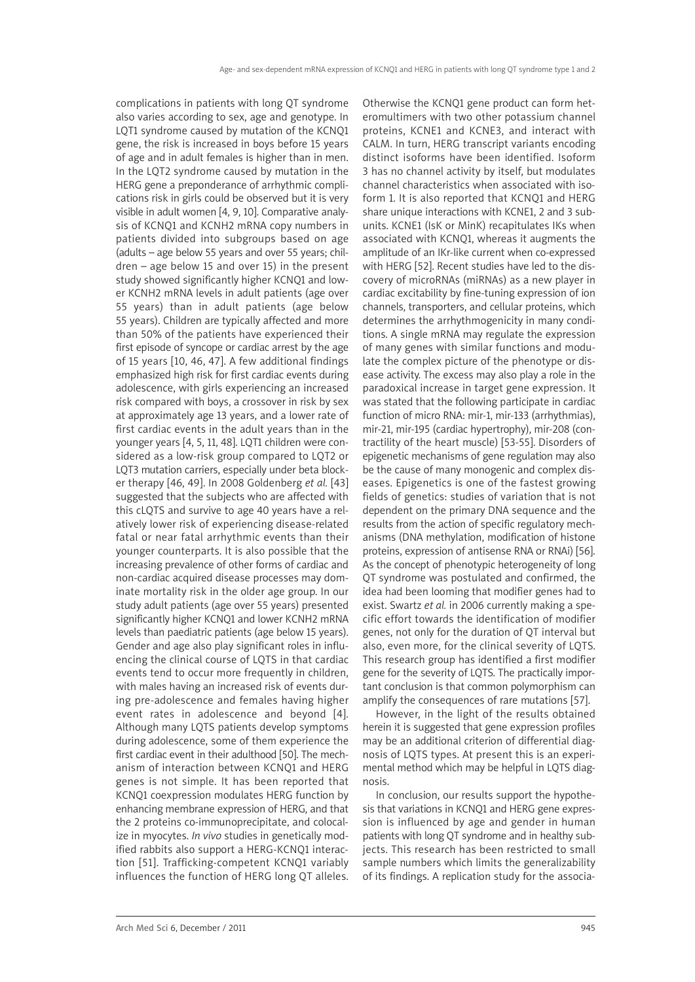complications in patients with long QT syndrome also varies according to sex, age and genotype. In LQT1 syndrome caused by mutation of the KCNQ1 gene, the risk is increased in boys before 15 years of age and in adult females is higher than in men. In the LQT2 syndrome caused by mutation in the HERG gene a preponderance of arrhythmic complications risk in girls could be observed but it is very visible in adult women [4, 9, 10]. Comparative analysis of KCNQ1 and KCNH2 mRNA copy numbers in patients divided into subgroups based on age (adults – age below 55 years and over 55 years; children – age below 15 and over 15) in the present study showed significantly higher KCNQ1 and lower KCNH2 mRNA levels in adult patients (age over 55 years) than in adult patients (age below 55 years). Children are typically affected and more than 50% of the patients have experienced their first episode of syncope or cardiac arrest by the age of 15 years [10, 46, 47]. A few additional findings emphasized high risk for first cardiac events during adolescence, with girls experiencing an increased risk compared with boys, a crossover in risk by sex at approximately age 13 years, and a lower rate of first cardiac events in the adult years than in the younger years [4, 5, 11, 48]. LQT1 children were considered as a low-risk group compared to LQT2 or LQT3 mutation carriers, especially under beta blocker therapy [46, 49]. In 2008 Goldenberg *et al.* [43] suggested that the subjects who are affected with this cLQTS and survive to age 40 years have a relatively lower risk of experiencing disease-related fatal or near fatal arrhythmic events than their younger counterparts. It is also possible that the increasing prevalence of other forms of cardiac and non-cardiac acquired disease processes may dominate mortality risk in the older age group. In our study adult patients (age over 55 years) presented significantly higher KCNQ1 and lower KCNH2 mRNA levels than paediatric patients (age below 15 years). Gender and age also play significant roles in influencing the clinical course of LQTS in that cardiac events tend to occur more frequently in children, with males having an increased risk of events during pre-adolescence and females having higher event rates in adolescence and beyond [4]. Although many LQTS patients develop symptoms during adolescence, some of them experience the first cardiac event in their adulthood [50]. The mechanism of interaction between KCNQ1 and HERG genes is not simple. It has been reported that KCNQ1 coexpression modulates HERG function by enhancing membrane expression of HERG, and that the 2 proteins co-immunoprecipitate, and colocalize in myocytes. *In vivo* studies in genetically modified rabbits also support a HERG-KCNQ1 interaction [51]. Trafficking-competent KCNQ1 variably influences the function of HERG long QT alleles. Otherwise the KCNQ1 gene product can form heteromultimers with two other potassium channel proteins, KCNE1 and KCNE3, and interact with CALM. In turn, HERG transcript variants encoding distinct isoforms have been identified. Isoform 3 has no channel activity by itself, but modulates channel characteristics when associated with isoform 1. It is also reported that KCNQ1 and HERG share unique interactions with KCNE1, 2 and 3 subunits. KCNE1 (IsK or MinK) recapitulates IKs when associated with KCNQ1, whereas it augments the amplitude of an IKr-like current when co-expressed with HERG [52]. Recent studies have led to the discovery of microRNAs (miRNAs) as a new player in cardiac excitability by fine-tuning expression of ion channels, transporters, and cellular proteins, which determines the arrhythmogenicity in many conditions. A single mRNA may regulate the expression of many genes with similar functions and modulate the complex picture of the phenotype or disease activity. The excess may also play a role in the paradoxical increase in target gene expression. It was stated that the following participate in cardiac function of micro RNA: mir-1, mir-133 (arrhythmias), mir-21, mir-195 (cardiac hypertrophy), mir-208 (contractility of the heart muscle) [53-55]. Disorders of epigenetic mechanisms of gene regulation may also be the cause of many monogenic and complex diseases. Epigenetics is one of the fastest growing fields of genetics: studies of variation that is not dependent on the primary DNA sequence and the results from the action of specific regulatory mechanisms (DNA methylation, modification of histone proteins, expression of antisense RNA or RNAi) [56]. As the concept of phenotypic heterogeneity of long QT syndrome was postulated and confirmed, the idea had been looming that modifier genes had to exist. Swartz *et al.* in 2006 currently making a specific effort towards the identification of modifier genes, not only for the duration of QT interval but also, even more, for the clinical severity of LQTS. This research group has identified a first modifier gene for the severity of LQTS. The practically important conclusion is that common polymorphism can amplify the consequences of rare mutations [57].

However, in the light of the results obtained herein it is suggested that gene expression profiles may be an additional criterion of differential diagnosis of LQTS types. At present this is an experimental method which may be helpful in LQTS diagnosis.

In conclusion, our results support the hypothesis that variations in KCNQ1 and HERG gene expression is influenced by age and gender in human patients with long QT syndrome and in healthy subjects. This research has been restricted to small sample numbers which limits the generalizability of its findings. A replication study for the associa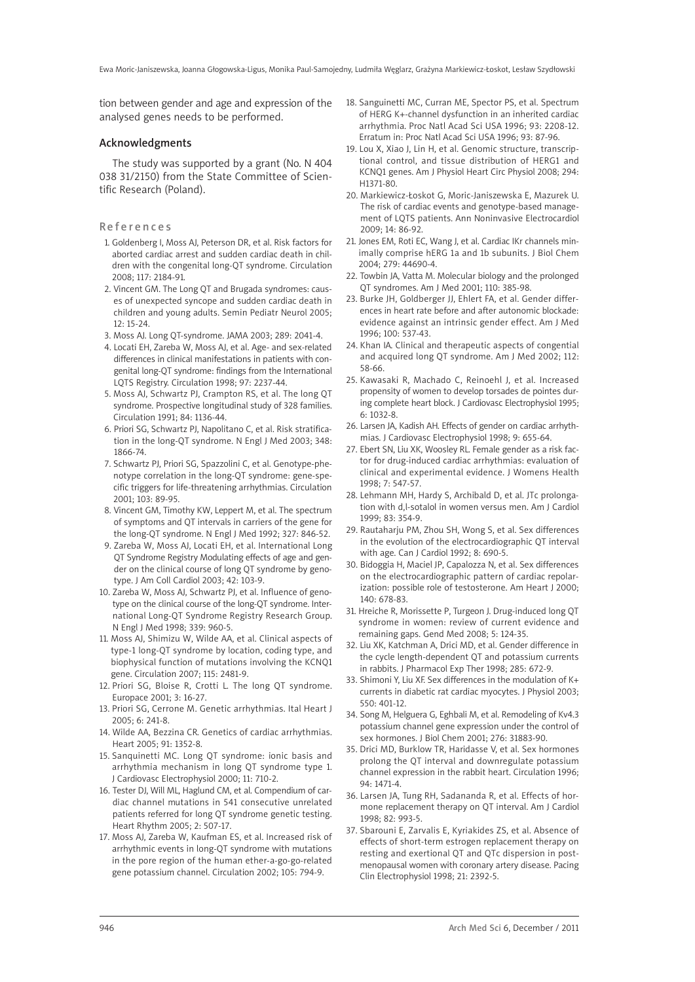tion between gender and age and expression of the analysed genes needs to be performed.

### Acknowledgments

The study was supported by a grant (No. N 404 038 31/2150) from the State Committee of Scientific Research (Poland).

Re f e r e n c e s

- 1. Goldenberg I, Moss AJ, Peterson DR, et al. Risk factors for aborted cardiac arrest and sudden cardiac death in children with the congenital long-QT syndrome. Circulation 2008; 117: 2184-91.
- 2. Vincent GM. The Long QT and Brugada syndromes: causes of unexpected syncope and sudden cardiac death in children and young adults. Semin Pediatr Neurol 2005; 12: 15-24.
- 3. Moss AJ. Long QT-syndrome. JAMA 2003; 289: 2041-4.
- 4. Locati EH, Zareba W, Moss AJ, et al. Age- and sex-related differences in clinical manifestations in patients with congenital long-QT syndrome: findings from the International LQTS Registry. Circulation 1998; 97: 2237-44.
- 5. Moss AJ, Schwartz PJ, Crampton RS, et al. The long QT syndrome. Prospective longitudinal study of 328 families. Circulation 1991; 84: 1136-44.
- 6. Priori SG, Schwartz PJ, Napolitano C, et al. Risk stratification in the long-QT syndrome. N Engl J Med 2003; 348: 1866-74.
- 7. Schwartz PJ, Priori SG, Spazzolini C, et al. Genotype-phenotype correlation in the long-QT syndrome: gene-specific triggers for life-threatening arrhythmias. Circulation 2001; 103: 89-95.
- 8. Vincent GM, Timothy KW, Leppert M, et al. The spectrum of symptoms and QT intervals in carriers of the gene for the long-QT syndrome. N Engl J Med 1992; 327: 846-52.
- 9. Zareba W, Moss AJ, Locati EH, et al. International Long QT Syndrome Registry Modulating effects of age and gender on the clinical course of long QT syndrome by genotype. J Am Coll Cardiol 2003; 42: 103-9.
- 10. Zareba W, Moss AJ, Schwartz PJ, et al. Influence of genotype on the clinical course of the long-QT syndrome. International Long-QT Syndrome Registry Research Group. N Engl J Med 1998; 339: 960-5.
- 11. Moss AJ, Shimizu W, Wilde AA, et al. Clinical aspects of type-1 long-QT syndrome by location, coding type, and biophysical function of mutations involving the KCNQ1 gene. Circulation 2007; 115: 2481-9.
- 12. Priori SG, Bloise R, Crotti L. The long QT syndrome. Europace 2001; 3: 16-27.
- 13. Priori SG, Cerrone M. Genetic arrhythmias. Ital Heart J 2005; 6: 241-8.
- 14. Wilde AA, Bezzina CR. Genetics of cardiac arrhythmias. Heart 2005; 91: 1352-8.
- 15. Sanquinetti MC. Long QT syndrome: ionic basis and arrhythmia mechanism in long QT syndrome type 1. J Cardiovasc Electrophysiol 2000; 11: 710-2.
- 16. Tester DJ, Will ML, Haglund CM, et al. Compendium of cardiac channel mutations in 541 consecutive unrelated patients referred for long QT syndrome genetic testing. Heart Rhythm 2005; 2: 507-17.
- 17. Moss AJ, Zareba W, Kaufman ES, et al. Increased risk of arrhythmic events in long-QT syndrome with mutations in the pore region of the human ether-a-go-go-related gene potassium channel. Circulation 2002; 105: 794-9.
- 18. Sanguinetti MC, Curran ME, Spector PS, et al. Spectrum of HERG K+-channel dysfunction in an inherited cardiac arrhythmia. Proc Natl Acad Sci USA 1996; 93: 2208-12. Erratum in: Proc Natl Acad Sci USA 1996; 93: 87-96.
- 19. Lou X, Xiao J, Lin H, et al. Genomic structure, transcriptional control, and tissue distribution of HERG1 and KCNQ1 genes. Am J Physiol Heart Circ Physiol 2008; 294: H1371-80.
- 20. Markiewicz-Łoskot G, Moric-Janiszewska E, Mazurek U. The risk of cardiac events and genotype-based management of LQTS patients. Ann Noninvasive Electrocardiol 2009; 14: 86-92.
- 21. Jones EM, Roti EC, Wang J, et al. Cardiac IKr channels minimally comprise hERG 1a and 1b subunits. J Biol Chem 2004; 279: 44690-4.
- 22. Towbin JA, Vatta M. Molecular biology and the prolonged QT syndromes. Am J Med 2001; 110: 385-98.
- 23. Burke JH, Goldberger JJ, Ehlert FA, et al. Gender differences in heart rate before and after autonomic blockade: evidence against an intrinsic gender effect. Am J Med 1996; 100: 537-43.
- 24. Khan IA. Clinical and therapeutic aspects of congential and acquired long QT syndrome. Am J Med 2002; 112: 58-66.
- 25. Kawasaki R, Machado C, Reinoehl J, et al. Increased propensity of women to develop torsades de pointes during complete heart block. J Cardiovasc Electrophysiol 1995; 6: 1032-8.
- 26. Larsen JA, Kadish AH. Effects of gender on cardiac arrhythmias. J Cardiovasc Electrophysiol 1998; 9: 655-64.
- 27. Ebert SN, Liu XK, Woosley RL. Female gender as a risk factor for drug-induced cardiac arrhythmias: evaluation of clinical and experimental evidence. J Womens Health 1998; 7: 547-57.
- 28. Lehmann MH, Hardy S, Archibald D, et al. JTc prolongation with d,l-sotalol in women versus men. Am J Cardiol 1999; 83: 354-9.
- 29. Rautaharju PM, Zhou SH, Wong S, et al. Sex differences in the evolution of the electrocardiographic QT interval with age. Can J Cardiol 1992; 8: 690-5.
- 30. Bidoggia H, Maciel JP, Capalozza N, et al. Sex differences on the electrocardiographic pattern of cardiac repolarization: possible role of testosterone. Am Heart J 2000; 140: 678-83.
- 31. Hreiche R, Morissette P, Turgeon J. Drug-induced long QT syndrome in women: review of current evidence and remaining gaps. Gend Med 2008; 5: 124-35.
- 32. Liu XK, Katchman A, Drici MD, et al. Gender difference in the cycle length-dependent QT and potassium currents in rabbits. J Pharmacol Exp Ther 1998; 285: 672-9.
- 33. Shimoni Y, Liu XF. Sex differences in the modulation of K+ currents in diabetic rat cardiac myocytes. J Physiol 2003; 550: 401-12.
- 34. Song M, Helguera G, Eghbali M, et al. Remodeling of Kv4.3 potassium channel gene expression under the control of sex hormones. J Biol Chem 2001; 276: 31883-90.
- 35. Drici MD, Burklow TR, Haridasse V, et al. Sex hormones prolong the QT interval and downregulate potassium channel expression in the rabbit heart. Circulation 1996; 94: 1471-4.
- 36. Larsen JA, Tung RH, Sadananda R, et al. Effects of hormone replacement therapy on QT interval. Am J Cardiol 1998; 82: 993-5.
- 37. Sbarouni E, Zarvalis E, Kyriakides ZS, et al. Absence of effects of short-term estrogen replacement therapy on resting and exertional QT and QTc dispersion in postmenopausal women with coronary artery disease. Pacing Clin Electrophysiol 1998; 21: 2392-5.